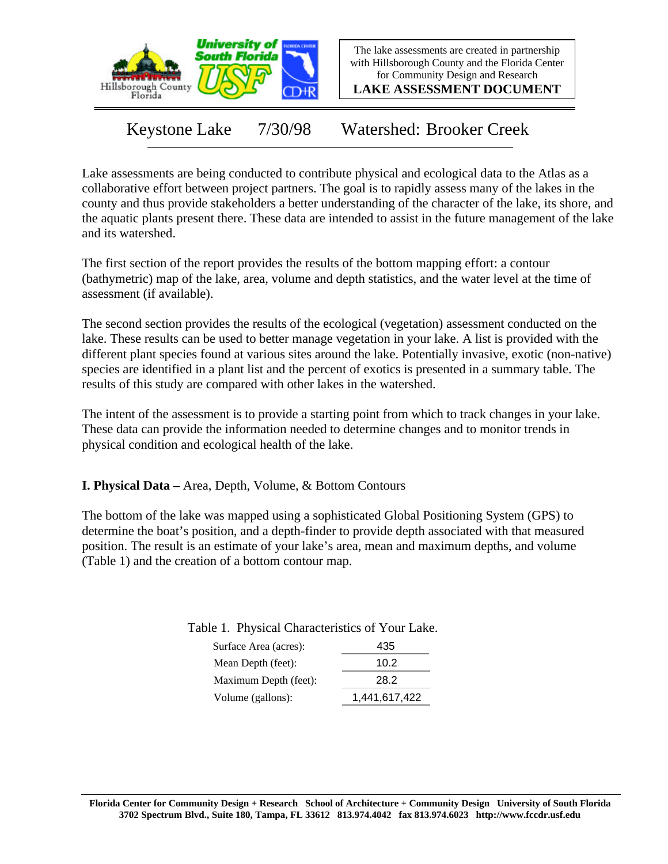

The lake assessments are created in partnership with Hillsborough County and the Florida Center for Community Design and Research

**LAKE ASSESSMENT DOCUMENT**

Keystone Lake 7/30/98 Watershed: Brooker Creek

Lake assessments are being conducted to contribute physical and ecological data to the Atlas as a collaborative effort between project partners. The goal is to rapidly assess many of the lakes in the county and thus provide stakeholders a better understanding of the character of the lake, its shore, and the aquatic plants present there. These data are intended to assist in the future management of the lake and its watershed.

The first section of the report provides the results of the bottom mapping effort: a contour (bathymetric) map of the lake, area, volume and depth statistics, and the water level at the time of assessment (if available).

The second section provides the results of the ecological (vegetation) assessment conducted on the lake. These results can be used to better manage vegetation in your lake. A list is provided with the different plant species found at various sites around the lake. Potentially invasive, exotic (non-native) species are identified in a plant list and the percent of exotics is presented in a summary table. The results of this study are compared with other lakes in the watershed.

The intent of the assessment is to provide a starting point from which to track changes in your lake. These data can provide the information needed to determine changes and to monitor trends in physical condition and ecological health of the lake.

**I. Physical Data –** Area, Depth, Volume, & Bottom Contours

The bottom of the lake was mapped using a sophisticated Global Positioning System (GPS) to determine the boat's position, and a depth-finder to provide depth associated with that measured position. The result is an estimate of your lake's area, mean and maximum depths, and volume (Table 1) and the creation of a bottom contour map.

Table 1. Physical Characteristics of Your Lake.

| Surface Area (acres): | 435           |
|-----------------------|---------------|
| Mean Depth (feet):    | 10.2          |
| Maximum Depth (feet): | 28.2          |
| Volume (gallons):     | 1,441,617,422 |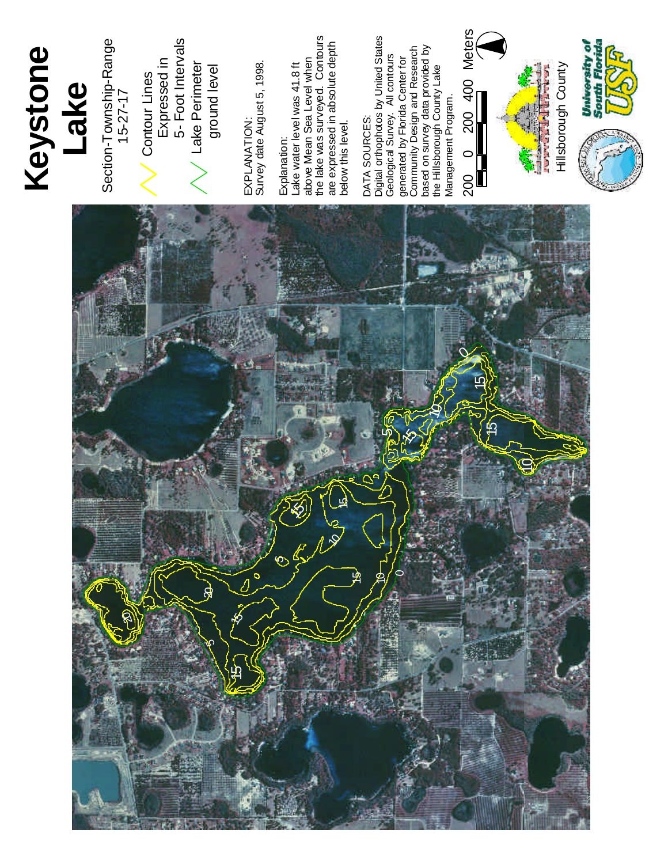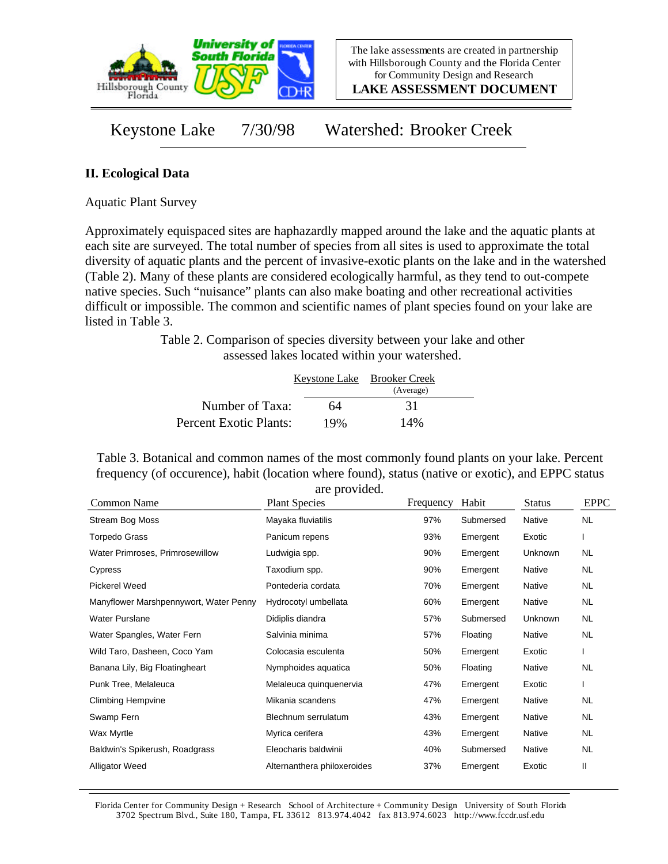

**LAKE ASSESSMENT DOCUMENT**

Keystone Lake 7/30/98 Watershed: Brooker Creek

### **II. Ecological Data**

Aquatic Plant Survey

Approximately equispaced sites are haphazardly mapped around the lake and the aquatic plants at each site are surveyed. The total number of species from all sites is used to approximate the total diversity of aquatic plants and the percent of invasive-exotic plants on the lake and in the watershed (Table 2). Many of these plants are considered ecologically harmful, as they tend to out-compete native species. Such "nuisance" plants can also make boating and other recreational activities difficult or impossible. The common and scientific names of plant species found on your lake are listed in Table 3.

> Table 2. Comparison of species diversity between your lake and other assessed lakes located within your watershed.

|                        |     | Keystone Lake Brooker Creek<br>(Average) |  |
|------------------------|-----|------------------------------------------|--|
| Number of Taxa:        | 64  | 31                                       |  |
| Percent Exotic Plants: | 19% | 14%                                      |  |

Table 3. Botanical and common names of the most commonly found plants on your lake. Percent frequency (of occurence), habit (location where found), status (native or exotic), and EPPC status are provided.

|                                        | are provided.               |           |           |                |             |
|----------------------------------------|-----------------------------|-----------|-----------|----------------|-------------|
| Common Name                            | <b>Plant Species</b>        | Frequency | Habit     | <b>Status</b>  | <b>EPPC</b> |
| Stream Bog Moss                        | Mayaka fluviatilis          | 97%       | Submersed | Native         | NL.         |
| Torpedo Grass                          | Panicum repens              | 93%       | Emergent  | Exotic         |             |
| Water Primroses, Primrosewillow        | Ludwigia spp.               | 90%       | Emergent  | Unknown        | NL.         |
| Cypress                                | Taxodium spp.               | 90%       | Emergent  | Native         | NL.         |
| Pickerel Weed                          | Pontederia cordata          | 70%       | Emergent  | Native         | NL.         |
| Manyflower Marshpennywort, Water Penny | Hydrocotyl umbellata        | 60%       | Emergent  | Native         | NL.         |
| <b>Water Purslane</b>                  | Didiplis diandra            | 57%       | Submersed | <b>Unknown</b> | NL.         |
| Water Spangles, Water Fern             | Salvinia minima             | 57%       | Floating  | Native         | NL.         |
| Wild Taro, Dasheen, Coco Yam           | Colocasia esculenta         | 50%       | Emergent  | Exotic         |             |
| Banana Lily, Big Floatingheart         | Nymphoides aquatica         | 50%       | Floating  | <b>Native</b>  | <b>NL</b>   |
| Punk Tree, Melaleuca                   | Melaleuca quinquenervia     | 47%       | Emergent  | Exotic         |             |
| <b>Climbing Hempvine</b>               | Mikania scandens            | 47%       | Emergent  | Native         | NL          |
| Swamp Fern                             | Blechnum serrulatum         | 43%       | Emergent  | Native         | NL.         |
| Wax Myrtle                             | Myrica cerifera             | 43%       | Emergent  | Native         | NL.         |
| Baldwin's Spikerush, Roadgrass         | Eleocharis baldwinii        | 40%       | Submersed | Native         | NL          |
| <b>Alligator Weed</b>                  | Alternanthera philoxeroides | 37%       | Emergent  | Exotic         | Ш           |

Florida Center for Community Design + Research School of Architecture + Community Design University of South Florida 3702 Spectrum Blvd., Suite 180, Tampa, FL 33612 813.974.4042 fax 813.974.6023 http://www.fccdr.usf.edu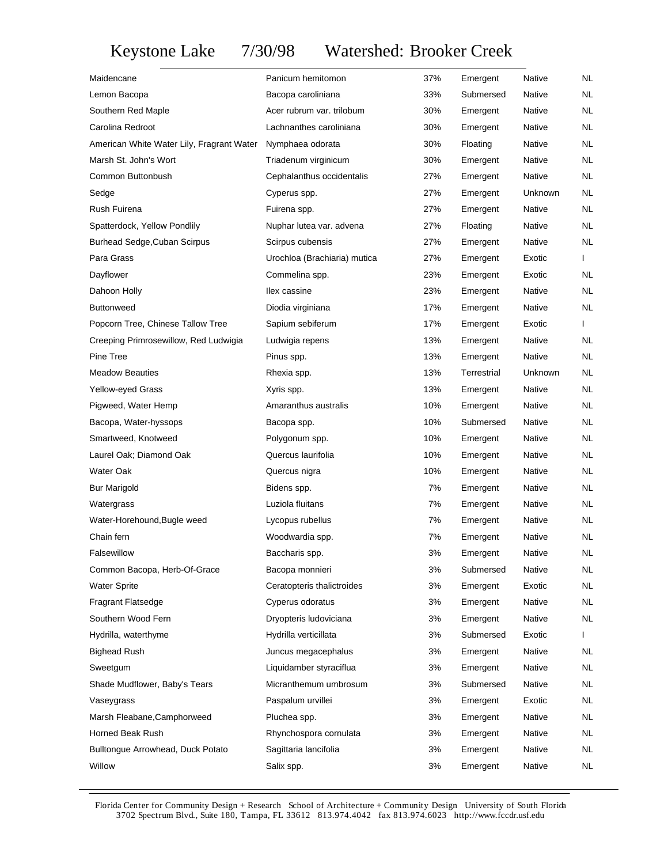# Keystone Lake 7/30/98 Watershed: Brooker Creek

| Maidencane                                | Panicum hemitomon            | 37% | Emergent    | Native        | NL.       |
|-------------------------------------------|------------------------------|-----|-------------|---------------|-----------|
| Lemon Bacopa                              | Bacopa caroliniana           | 33% | Submersed   | Native        | NL        |
| Southern Red Maple                        | Acer rubrum var. trilobum    | 30% | Emergent    | Native        | NL        |
| Carolina Redroot                          | Lachnanthes caroliniana      | 30% | Emergent    | Native        | NL        |
| American White Water Lily, Fragrant Water | Nymphaea odorata             | 30% | Floating    | Native        | NL        |
| Marsh St. John's Wort                     | Triadenum virginicum         | 30% | Emergent    | Native        | NL        |
| Common Buttonbush                         | Cephalanthus occidentalis    | 27% | Emergent    | Native        | NL        |
| Sedge                                     | Cyperus spp.                 | 27% | Emergent    | Unknown       | NL.       |
| Rush Fuirena                              | Fuirena spp.                 | 27% | Emergent    | Native        | NL        |
| Spatterdock, Yellow Pondlily              | Nuphar lutea var. advena     | 27% | Floating    | Native        | NL.       |
| Burhead Sedge, Cuban Scirpus              | Scirpus cubensis             | 27% | Emergent    | Native        | NL        |
| Para Grass                                | Urochloa (Brachiaria) mutica | 27% | Emergent    | Exotic        |           |
| Dayflower                                 | Commelina spp.               | 23% | Emergent    | Exotic        | NL.       |
| Dahoon Holly                              | llex cassine                 | 23% | Emergent    | Native        | NL        |
| <b>Buttonweed</b>                         | Diodia virginiana            | 17% | Emergent    | Native        | NL        |
| Popcorn Tree, Chinese Tallow Tree         | Sapium sebiferum             | 17% | Emergent    | Exotic        | L         |
| Creeping Primrosewillow, Red Ludwigia     | Ludwigia repens              | 13% | Emergent    | Native        | NL.       |
| Pine Tree                                 | Pinus spp.                   | 13% | Emergent    | Native        | NL        |
| <b>Meadow Beauties</b>                    | Rhexia spp.                  | 13% | Terrestrial | Unknown       | NL        |
| Yellow-eyed Grass                         | Xyris spp.                   | 13% | Emergent    | Native        | NL        |
| Pigweed, Water Hemp                       | Amaranthus australis         | 10% | Emergent    | Native        | NL        |
| Bacopa, Water-hyssops                     | Bacopa spp.                  | 10% | Submersed   | Native        | NL.       |
| Smartweed, Knotweed                       | Polygonum spp.               | 10% | Emergent    | Native        | NL        |
| Laurel Oak; Diamond Oak                   | Quercus laurifolia           | 10% | Emergent    | Native        | NL        |
| Water Oak                                 | Quercus nigra                | 10% | Emergent    | Native        | NL        |
| <b>Bur Marigold</b>                       | Bidens spp.                  | 7%  | Emergent    | Native        | NL        |
| Watergrass                                | Luziola fluitans             | 7%  | Emergent    | Native        | NL        |
| Water-Horehound, Bugle weed               | Lycopus rubellus             | 7%  | Emergent    | Native        | NL.       |
| Chain fern                                | Woodwardia spp.              | 7%  | Emergent    | Native        | NL        |
| Falsewillow                               | Baccharis spp.               | 3%  | Emergent    | Native        | NL        |
| Common Bacopa, Herb-Of-Grace              | Bacopa monnieri              | 3%  | Submersed   | Native        | NL.       |
| <b>Water Sprite</b>                       | Ceratopteris thalictroides   | 3%  | Emergent    | Exotic        | NL        |
| Fragrant Flatsedge                        | Cyperus odoratus             | 3%  | Emergent    | <b>Native</b> | NL        |
| Southern Wood Fern                        | Dryopteris ludoviciana       | 3%  | Emergent    | Native        | <b>NL</b> |
| Hydrilla, waterthyme                      | Hydrilla verticillata        | 3%  | Submersed   | Exotic        | L         |
| <b>Bighead Rush</b>                       | Juncus megacephalus          | 3%  | Emergent    | Native        | NL.       |
| Sweetgum                                  | Liquidamber styraciflua      | 3%  | Emergent    | <b>Native</b> | NL        |
| Shade Mudflower, Baby's Tears             | Micranthemum umbrosum        | 3%  | Submersed   | Native        | NL.       |
| Vaseygrass                                | Paspalum urvillei            | 3%  | Emergent    | Exotic        | NL        |
| Marsh Fleabane, Camphorweed               | Pluchea spp.                 | 3%  | Emergent    | Native        | NL.       |
| Horned Beak Rush                          | Rhynchospora cornulata       | 3%  | Emergent    | Native        | NL        |
| Bulltongue Arrowhead, Duck Potato         | Sagittaria lancifolia        | 3%  | Emergent    | Native        | NL.       |
| Willow                                    | Salix spp.                   | 3%  | Emergent    | Native        | NL        |

Florida Center for Community Design + Research School of Architecture + Community Design University of South Florida 3702 Spectrum Blvd., Suite 180, Tampa, FL 33612 813.974.4042 fax 813.974.6023 http://www.fccdr.usf.edu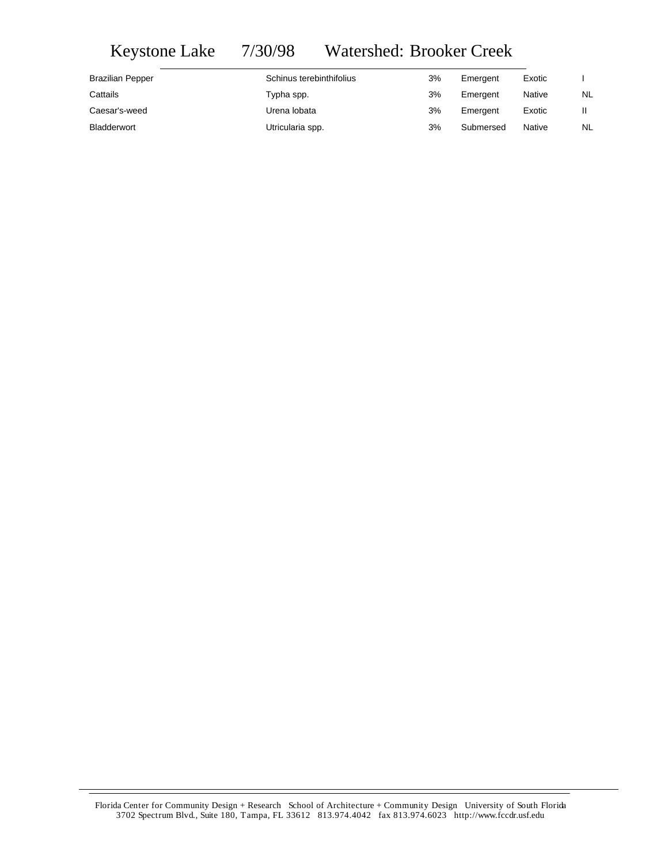# Keystone Lake 7/30/98 Watershed: Brooker Creek

| <b>Brazilian Pepper</b> | Schinus terebinthifolius | 3% | Emergent  | Exotic |           |
|-------------------------|--------------------------|----|-----------|--------|-----------|
| Cattails                | Typha spp.               | 3% | Emergent  | Native | <b>NL</b> |
| Caesar's-weed           | Urena lobata             | 3% | Emergent  | Exotic |           |
| <b>Bladderwort</b>      | Utricularia spp.         | 3% | Submersed | Native | NL        |